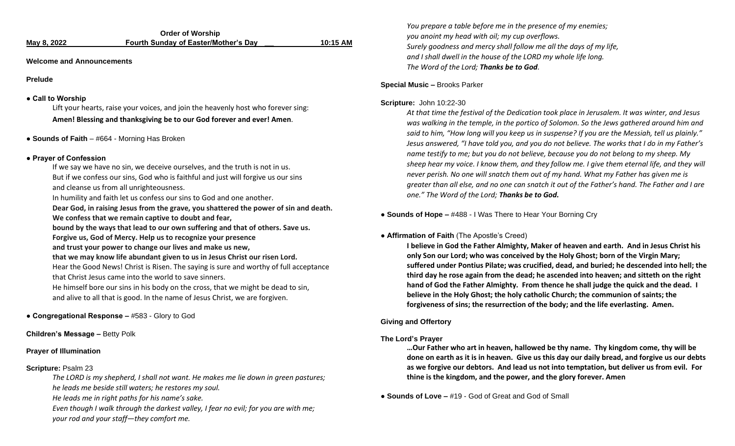|             | <b>Order of Worship</b>                     |          |
|-------------|---------------------------------------------|----------|
| May 8, 2022 | <b>Fourth Sunday of Easter/Mother's Day</b> | 10:15 AM |

#### **Welcome and Announcements**

**Prelude**

#### **● Call to Worship**

Lift your hearts, raise your voices, and join the heavenly host who forever sing: **Amen! Blessing and thanksgiving be to our God forever and ever! Amen**.

**● Sounds of Faith** – #664 - Morning Has Broken

#### **● Prayer of Confession**

If we say we have no sin, we deceive ourselves, and the truth is not in us. But if we confess our sins, God who is faithful and just will forgive us our sins and cleanse us from all unrighteousness.

In humility and faith let us confess our sins to God and one another.

**Dear God, in raising Jesus from the grave, you shattered the power of sin and death. We confess that we remain captive to doubt and fear,** 

**bound by the ways that lead to our own suffering and that of others. Save us. Forgive us, God of Mercy. Help us to recognize your presence** 

**and trust your power to change our lives and make us new,** 

**that we may know life abundant given to us in Jesus Christ our risen Lord.**

Hear the Good News! Christ is Risen. The saying is sure and worthy of full acceptance that Christ Jesus came into the world to save sinners.

He himself bore our sins in his body on the cross, that we might be dead to sin, and alive to all that is good. In the name of Jesus Christ, we are forgiven.

# **● Congregational Response –** #583 - Glory to God

**Children's Message –** Betty Polk

## **Prayer of Illumination**

## **Scripture:** Psalm 23

*The LORD is my shepherd, I shall not want. He makes me lie down in green pastures; he leads me beside still waters; he restores my soul.*

*He leads me in right paths for his name's sake.*

*Even though I walk through the darkest valley, I fear no evil; for you are with me; your rod and your staff—they comfort me.*

*You prepare a table before me in the presence of my enemies; you anoint my head with oil; my cup overflows. Surely goodness and mercy shall follow me all the days of my life, and I shall dwell in the house of the LORD my whole life long. The Word of the Lord; Thanks be to God.* 

#### **Special Music –** Brooks Parker

#### **Scripture:** John 10:22-30

*At that time the festival of the Dedication took place in Jerusalem. It was winter, and Jesus was walking in the temple, in the portico of Solomon. So the Jews gathered around him and said to him, "How long will you keep us in suspense? If you are the Messiah, tell us plainly." Jesus answered, "I have told you, and you do not believe. The works that I do in my Father's name testify to me; but you do not believe, because you do not belong to my sheep. My sheep hear my voice. I know them, and they follow me. I give them eternal life, and they will never perish. No one will snatch them out of my hand. What my Father has given me is greater than all else, and no one can snatch it out of the Father's hand. The Father and I are one." The Word of the Lord; Thanks be to God.*

**● Sounds of Hope –** #488 - I Was There to Hear Your Borning Cry

## **● Affirmation of Faith** (The Apostle's Creed)

**I believe in God the Father Almighty, Maker of heaven and earth. And in Jesus Christ his only Son our Lord; who was conceived by the Holy Ghost; born of the Virgin Mary; suffered under Pontius Pilate; was crucified, dead, and buried; he descended into hell; the third day he rose again from the dead; he ascended into heaven; and sitteth on the right hand of God the Father Almighty. From thence he shall judge the quick and the dead. I believe in the Holy Ghost; the holy catholic Church; the communion of saints; the forgiveness of sins; the resurrection of the body; and the life everlasting. Amen.**

# **Giving and Offertory**

## **The Lord's Prayer**

**…Our Father who art in heaven, hallowed be thy name. Thy kingdom come, thy will be done on earth as it is in heaven. Give us this day our daily bread, and forgive us our debts as we forgive our debtors. And lead us not into temptation, but deliver us from evil. For thine is the kingdom, and the power, and the glory forever. Amen**

**● Sounds of Love –** #19 - God of Great and God of Small